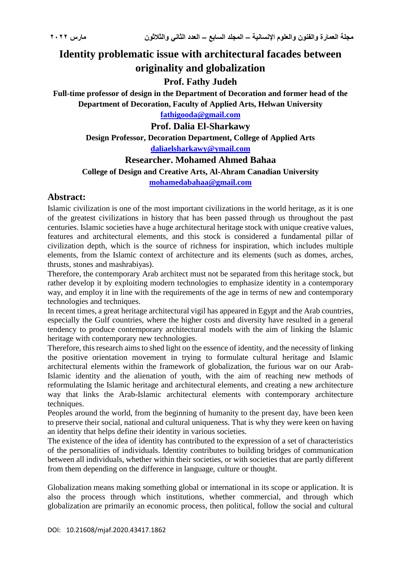# **Identity problematic issue with architectural facades between originality and globalization**

# **Prof. Fathy Judeh**

**Full-time professor of design in the Department of Decoration and former head of the Department of Decoration, Faculty of Applied Arts, Helwan University**

**[fathigooda@gmail.com](mailto:fathigooda@gmail.com)**

**Prof. Dalia El-Sharkawy**

**Design Professor, Decoration Department, College of Applied Arts**

**[daliaelsharkawy@ymail.com](mailto:daliaelsharkawy@ymail.com)**

#### **Researcher. Mohamed Ahmed Bahaa**

#### **College of Design and Creative Arts, Al-Ahram Canadian University**

**[mohamedabahaa@gmail.com](mailto:mohamedabahaa@gmail.com)**

# **Abstract:**

Islamic civilization is one of the most important civilizations in the world heritage, as it is one of the greatest civilizations in history that has been passed through us throughout the past centuries. Islamic societies have a huge architectural heritage stock with unique creative values, features and architectural elements, and this stock is considered a fundamental pillar of civilization depth, which is the source of richness for inspiration, which includes multiple elements, from the Islamic context of architecture and its elements (such as domes, arches, thrusts, stones and mashrabiyas).

Therefore, the contemporary Arab architect must not be separated from this heritage stock, but rather develop it by exploiting modern technologies to emphasize identity in a contemporary way, and employ it in line with the requirements of the age in terms of new and contemporary technologies and techniques.

In recent times, a great heritage architectural vigil has appeared in Egypt and the Arab countries, especially the Gulf countries, where the higher costs and diversity have resulted in a general tendency to produce contemporary architectural models with the aim of linking the Islamic heritage with contemporary new technologies.

Therefore, this research aims to shed light on the essence of identity, and the necessity of linking the positive orientation movement in trying to formulate cultural heritage and Islamic architectural elements within the framework of globalization, the furious war on our Arab-Islamic identity and the alienation of youth, with the aim of reaching new methods of reformulating the Islamic heritage and architectural elements, and creating a new architecture way that links the Arab-Islamic architectural elements with contemporary architecture techniques.

Peoples around the world, from the beginning of humanity to the present day, have been keen to preserve their social, national and cultural uniqueness. That is why they were keen on having an identity that helps define their identity in various societies.

The existence of the idea of identity has contributed to the expression of a set of characteristics of the personalities of individuals. Identity contributes to building bridges of communication between all individuals, whether within their societies, or with societies that are partly different from them depending on the difference in language, culture or thought.

Globalization means making something global or international in its scope or application. It is also the process through which institutions, whether commercial, and through which globalization are primarily an economic process, then political, follow the social and cultural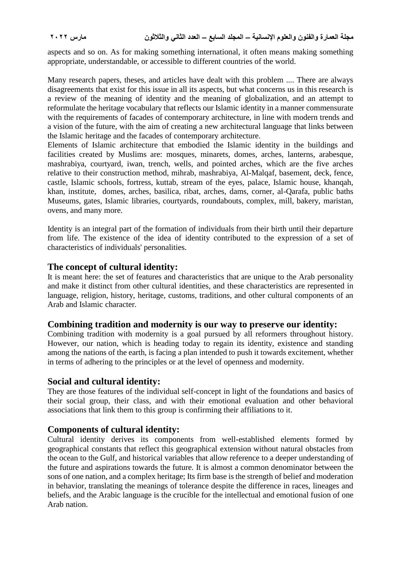aspects and so on. As for making something international, it often means making something appropriate, understandable, or accessible to different countries of the world.

Many research papers, theses, and articles have dealt with this problem .... There are always disagreements that exist for this issue in all its aspects, but what concerns us in this research is a review of the meaning of identity and the meaning of globalization, and an attempt to reformulate the heritage vocabulary that reflects our Islamic identity in a manner commensurate with the requirements of facades of contemporary architecture, in line with modern trends and a vision of the future, with the aim of creating a new architectural language that links between the Islamic heritage and the facades of contemporary architecture.

Elements of Islamic architecture that embodied the Islamic identity in the buildings and facilities created by Muslims are: mosques, minarets, domes, arches, lanterns, arabesque, mashrabiya, courtyard, iwan, trench, wells, and pointed arches, which are the five arches relative to their construction method, mihrab, mashrabiya, Al-Malqaf, basement, deck, fence, castle, Islamic schools, fortress, kuttab, stream of the eyes, palace, Islamic house, khanqah, khan, institute, domes, arches, basilica, ribat, arches, dams, corner, al-Qarafa, public baths Museums, gates, Islamic libraries, courtyards, roundabouts, complex, mill, bakery, maristan, ovens, and many more.

Identity is an integral part of the formation of individuals from their birth until their departure from life. The existence of the idea of identity contributed to the expression of a set of characteristics of individuals' personalities.

#### **The concept of cultural identity:**

It is meant here: the set of features and characteristics that are unique to the Arab personality and make it distinct from other cultural identities, and these characteristics are represented in language, religion, history, heritage, customs, traditions, and other cultural components of an Arab and Islamic character.

#### **Combining tradition and modernity is our way to preserve our identity:**

Combining tradition with modernity is a goal pursued by all reformers throughout history. However, our nation, which is heading today to regain its identity, existence and standing among the nations of the earth, is facing a plan intended to push it towards excitement, whether in terms of adhering to the principles or at the level of openness and modernity.

#### **Social and cultural identity:**

They are those features of the individual self-concept in light of the foundations and basics of their social group, their class, and with their emotional evaluation and other behavioral associations that link them to this group is confirming their affiliations to it.

## **Components of cultural identity:**

Cultural identity derives its components from well-established elements formed by geographical constants that reflect this geographical extension without natural obstacles from the ocean to the Gulf, and historical variables that allow reference to a deeper understanding of the future and aspirations towards the future. It is almost a common denominator between the sons of one nation, and a complex heritage; Its firm base is the strength of belief and moderation in behavior, translating the meanings of tolerance despite the difference in races, lineages and beliefs, and the Arabic language is the crucible for the intellectual and emotional fusion of one Arab nation.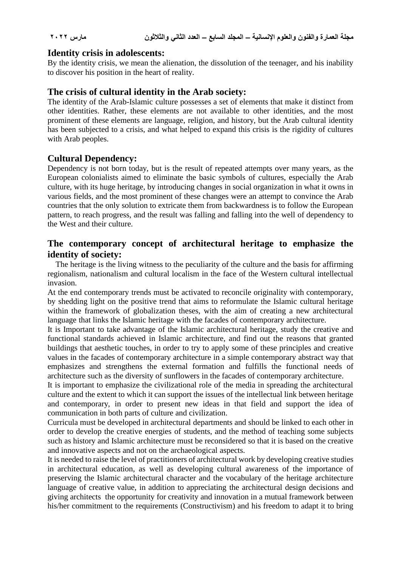### **Identity crisis in adolescents:**

By the identity crisis, we mean the alienation, the dissolution of the teenager, and his inability to discover his position in the heart of reality.

## **The crisis of cultural identity in the Arab society:**

The identity of the Arab-Islamic culture possesses a set of elements that make it distinct from other identities. Rather, these elements are not available to other identities, and the most prominent of these elements are language, religion, and history, but the Arab cultural identity has been subjected to a crisis, and what helped to expand this crisis is the rigidity of cultures with Arab peoples.

# **Cultural Dependency:**

Dependency is not born today, but is the result of repeated attempts over many years, as the European colonialists aimed to eliminate the basic symbols of cultures, especially the Arab culture, with its huge heritage, by introducing changes in social organization in what it owns in various fields, and the most prominent of these changes were an attempt to convince the Arab countries that the only solution to extricate them from backwardness is to follow the European pattern, to reach progress, and the result was falling and falling into the well of dependency to the West and their culture.

# **The contemporary concept of architectural heritage to emphasize the identity of society:**

 The heritage is the living witness to the peculiarity of the culture and the basis for affirming regionalism, nationalism and cultural localism in the face of the Western cultural intellectual invasion.

At the end contemporary trends must be activated to reconcile originality with contemporary, by shedding light on the positive trend that aims to reformulate the Islamic cultural heritage within the framework of globalization theses, with the aim of creating a new architectural language that links the Islamic heritage with the facades of contemporary architecture.

It is Important to take advantage of the Islamic architectural heritage, study the creative and functional standards achieved in Islamic architecture, and find out the reasons that granted buildings that aesthetic touches, in order to try to apply some of these principles and creative values in the facades of contemporary architecture in a simple contemporary abstract way that emphasizes and strengthens the external formation and fulfills the functional needs of architecture such as the diversity of sunflowers in the facades of contemporary architecture.

It is important to emphasize the civilizational role of the media in spreading the architectural culture and the extent to which it can support the issues of the intellectual link between heritage and contemporary, in order to present new ideas in that field and support the idea of communication in both parts of culture and civilization.

Curricula must be developed in architectural departments and should be linked to each other in order to develop the creative energies of students, and the method of teaching some subjects such as history and Islamic architecture must be reconsidered so that it is based on the creative and innovative aspects and not on the archaeological aspects.

It is needed to raise the level of practitioners of architectural work by developing creative studies in architectural education, as well as developing cultural awareness of the importance of preserving the Islamic architectural character and the vocabulary of the heritage architecture language of creative value, in addition to appreciating the architectural design decisions and giving architects the opportunity for creativity and innovation in a mutual framework between his/her commitment to the requirements (Constructivism) and his freedom to adapt it to bring